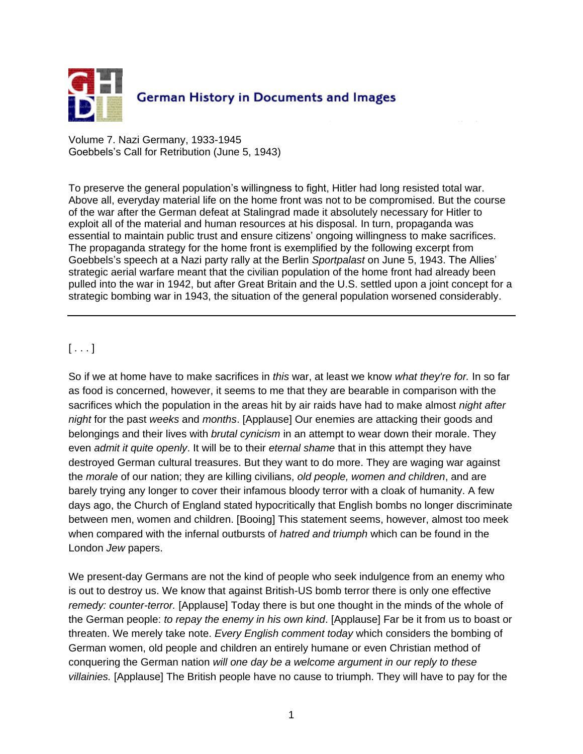

Volume 7. Nazi Germany, 1933-1945 Goebbels's Call for Retribution (June 5, 1943)

To preserve the general population's willingness to fight, Hitler had long resisted total war. Above all, everyday material life on the home front was not to be compromised. But the course of the war after the German defeat at Stalingrad made it absolutely necessary for Hitler to exploit all of the material and human resources at his disposal. In turn, propaganda was essential to maintain public trust and ensure citizens' ongoing willingness to make sacrifices. The propaganda strategy for the home front is exemplified by the following excerpt from Goebbels's speech at a Nazi party rally at the Berlin *Sportpalast* on June 5, 1943. The Allies' strategic aerial warfare meant that the civilian population of the home front had already been pulled into the war in 1942, but after Great Britain and the U.S. settled upon a joint concept for a strategic bombing war in 1943, the situation of the general population worsened considerably.

## $[\ldots]$

So if we at home have to make sacrifices in *this* war, at least we know *what they're for.* In so far as food is concerned, however, it seems to me that they are bearable in comparison with the sacrifices which the population in the areas hit by air raids have had to make almost *night after night* for the past *weeks* and *months*. [Applause] Our enemies are attacking their goods and belongings and their lives with *brutal cynicism* in an attempt to wear down their morale. They even *admit it quite openly*. It will be to their *eternal shame* that in this attempt they have destroyed German cultural treasures. But they want to do more. They are waging war against the *morale* of our nation; they are killing civilians, *old people, women and children*, and are barely trying any longer to cover their infamous bloody terror with a cloak of humanity. A few days ago, the Church of England stated hypocritically that English bombs no longer discriminate between men, women and children. [Booing] This statement seems, however, almost too meek when compared with the infernal outbursts of *hatred and triumph* which can be found in the London *Jew* papers.

We present-day Germans are not the kind of people who seek indulgence from an enemy who is out to destroy us. We know that against British-US bomb terror there is only one effective *remedy: counter-terror.* [Applause] Today there is but one thought in the minds of the whole of the German people: *to repay the enemy in his own kind*. [Applause] Far be it from us to boast or threaten. We merely take note. *Every English comment today* which considers the bombing of German women, old people and children an entirely humane or even Christian method of conquering the German nation *will one day be a welcome argument in our reply to these villainies.* [Applause] The British people have no cause to triumph. They will have to pay for the